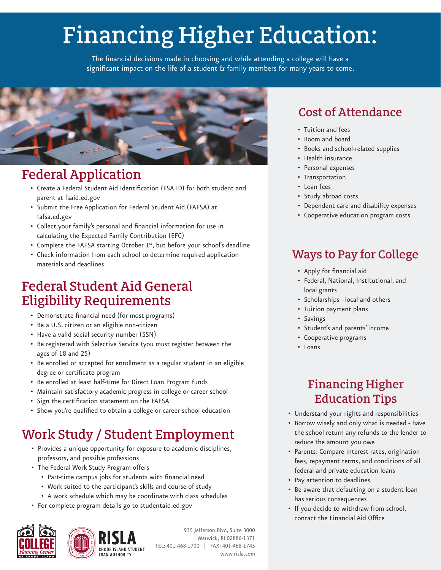# Financing Higher Education:

The financial decisions made in choosing and while attending a college will have a significant impact on the life of a student & family members for many years to come.



# Federal Application

- Create a Federal Student Aid Identification (FSA ID) for both student and parent at fsaid.ed.gov
- Submit the Free Application for Federal Student Aid (FAFSA) at fafsa.ed.gov
- Collect your family's personal and financial information for use in calculating the Expected Family Contribution (EFC)
- Complete the FAFSA starting October 1<sup>st</sup>, but before your school's deadline
- Check information from each school to determine required application materials and deadlines

# Federal Student Aid General Eligibility Requirements

- Demonstrate financial need (for most programs)
- Be a U.S. citizen or an eligible non-citizen
- Have a valid social security number (SSN)
- Be registered with Selective Service (you must register between the ages of 18 and 25)
- Be enrolled or accepted for enrollment as a regular student in an eligible degree or certificate program
- Be enrolled at least half-time for Direct Loan Program funds
- Maintain satisfactory academic progress in college or career school
- Sign the certification statement on the FAFSA
- Show you're qualified to obtain a college or career school education

# Work Study / Student Employment

- Provides a unique opportunity for exposure to academic disciplines, professors, and possible professions
- The Federal Work Study Program offers
	- Part-time campus jobs for students with financial need
	- Work suited to the participant's skills and course of study
	- A work schedule which may be coordinate with class schedules
- For complete program details go to studentaid.ed.gov



935 Jefferson Blvd, Suite 3000 Warwick, RI 02886-1371 TEL: 401-468-1700 | FAX: 401-468-1745 www.risla.com

# Cost of Attendance

- Tuition and fees
- Room and board
- Books and school-related supplies
- Health insurance
- Personal expenses
- Transportation
- Loan fees
- Study abroad costs
- Dependent care and disability expenses
- Cooperative education program costs

## Ways to Pay for College

- Apply for financial aid
- Federal, National, Institutional, and local grants
- Scholarships local and others
- Tuition payment plans
- Savings
- Student's and parents' income
- Cooperative programs
- Loans

# Financing Higher Education Tips

- Understand your rights and responsibilities
- Borrow wisely and only what is needed have the school return any refunds to the lender to reduce the amount you owe
- Parents: Compare interest rates, origination fees, repayment terms, and conditions of all federal and private education loans
- Pay attention to deadlines
- Be aware that defaulting on a student loan has serious consequences
- If you decide to withdraw from school, contact the Financial Aid Office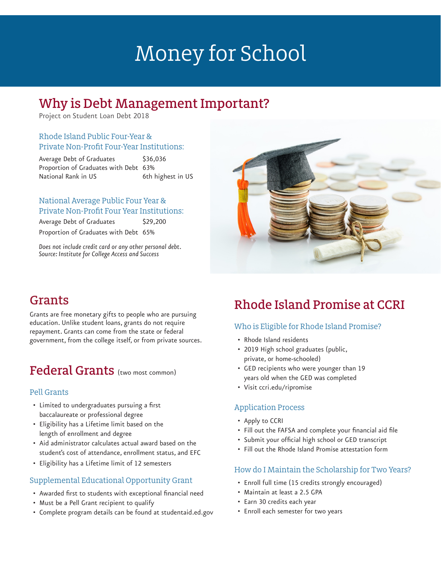# Money for School

## Why is Debt Management Important?

Project on Student Loan Debt 2018

## Rhode Island Public Four-Year & Private Non-Profit Four-Year Institutions:

Average Debt of Graduates \$36,036 Proportion of Graduates with Debt 63% National Rank in US 6th highest in US

### National Average Public Four Year & Private Non-Profit Four Year Institutions:

Average Debt of Graduates \$29,200 Proportion of Graduates with Debt 65%

*Does not include credit card or any other personal debt. Source: Institute for College Access and Success*



# Grants

Grants are free monetary gifts to people who are pursuing education. Unlike student loans, grants do not require repayment. Grants can come from the state or federal government, from the college itself, or from private sources.

# Federal Grants (two most common)

## Pell Grants

- Limited to undergraduates pursuing a first baccalaureate or professional degree
- Eligibility has a Lifetime limit based on the length of enrollment and degree
- Aid administrator calculates actual award based on the student's cost of attendance, enrollment status, and EFC
- Eligibility has a Lifetime limit of 12 semesters

## Supplemental Educational Opportunity Grant

- Awarded first to students with exceptional financial need
- Must be a Pell Grant recipient to qualify
- Complete program details can be found at studentaid.ed.gov

# Rhode Island Promise at CCRI

## Who is Eligible for Rhode Island Promise?

- Rhode Island residents
- 2019 High school graduates (public, private, or home-schooled)
- GED recipients who were younger than 19 years old when the GED was completed
- Visit ccri.edu/ripromise

## Application Process

- Apply to CCRI
- Fill out the FAFSA and complete your financial aid file
- Submit your official high school or GED transcript
- Fill out the Rhode Island Promise attestation form

## How do I Maintain the Scholarship for Two Years?

- Enroll full time (15 credits strongly encouraged)
- Maintain at least a 2.5 GPA
- Earn 30 credits each year
- Enroll each semester for two years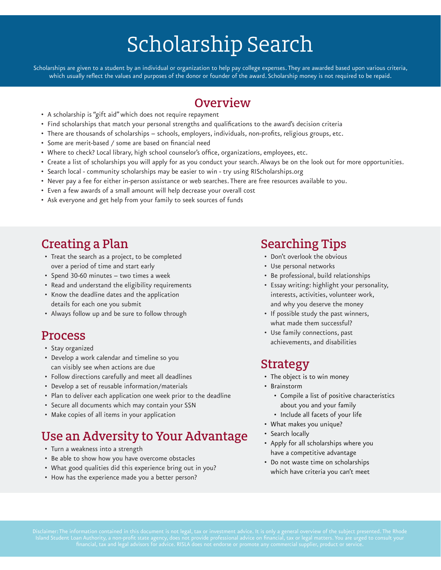# Scholarship Search

Scholarships are given to a student by an individual or organization to help pay college expenses. They are awarded based upon various criteria, which usually reflect the values and purposes of the donor or founder of the award. Scholarship money is not required to be repaid.

## **Overview**

- A scholarship is "gift aid" which does not require repayment
- Find scholarships that match your personal strengths and qualifications to the award's decision criteria
- There are thousands of scholarships schools, employers, individuals, non-profits, religious groups, etc.
- Some are merit-based / some are based on financial need
- Where to check? Local library, high school counselor's office, organizations, employees, etc.
- Create a list of scholarships you will apply for as you conduct your search. Always be on the look out for more opportunities.
- Search local community scholarships may be easier to win try using RIScholarships.org
- Never pay a fee for either in-person assistance or web searches. There are free resources available to you.
- Even a few awards of a small amount will help decrease your overall cost
- Ask everyone and get help from your family to seek sources of funds

## Creating a Plan

- Treat the search as a project, to be completed over a period of time and start early
- Spend 30-60 minutes two times a week
- Read and understand the eligibility requirements
- Know the deadline dates and the application details for each one you submit
- Always follow up and be sure to follow through

## Process

- Stay organized
- Develop a work calendar and timeline so you can visibly see when actions are due
- Follow directions carefully and meet all deadlines
- Develop a set of reusable information/materials
- Plan to deliver each application one week prior to the deadline
- Secure all documents which may contain your SSN
- Make copies of all items in your application

## Use an Adversity to Your Advantage

- Turn a weakness into a strength
- Be able to show how you have overcome obstacles
- What good qualities did this experience bring out in you?
- How has the experience made you a better person?

## Searching Tips

- Don't overlook the obvious
- Use personal networks
- Be professional, build relationships
- Essay writing: highlight your personality, interests, activities, volunteer work, and why you deserve the money
- If possible study the past winners, what made them successful?
- Use family connections, past achievements, and disabilities

## Strategy

- The object is to win money
- Brainstorm
	- Compile a list of positive characteristics about you and your family
	- Include all facets of your life
- What makes you unique?
- Search locally
- Apply for all scholarships where you have a competitive advantage
- Do not waste time on scholarships which have criteria you can't meet